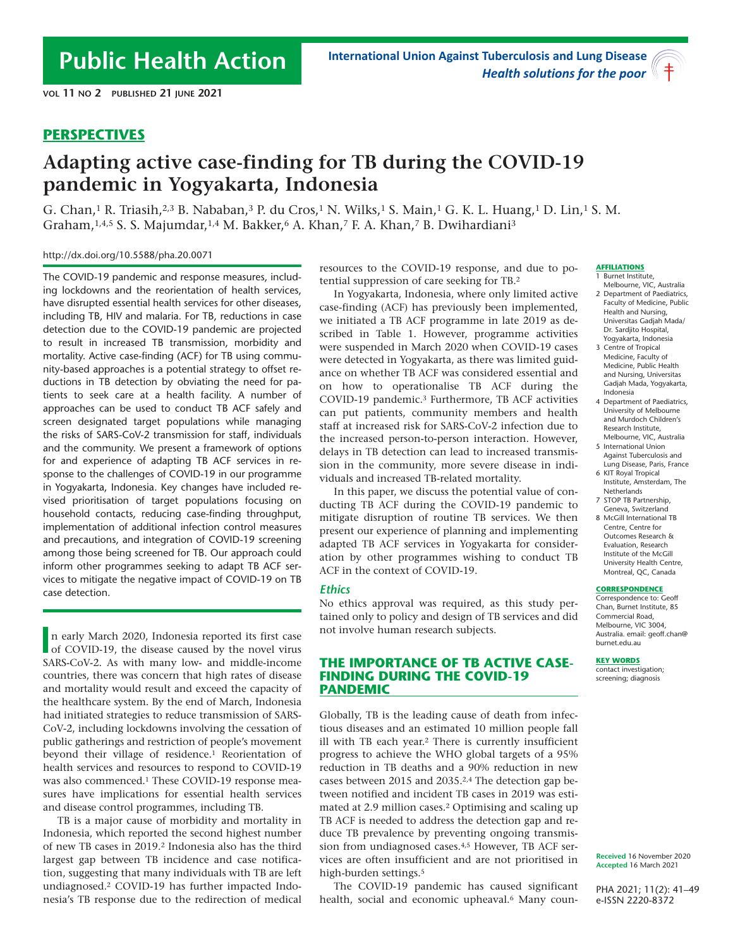# **PERSPECTIVES**

# **Adapting active case-finding for TB during the COVID-19 pandemic in Yogyakarta, Indonesia**

G. Chan,1 R. Triasih,2,3 B. Nababan,3 P. du Cros,1 N. Wilks,1 S. Main,1 G. K. L. Huang,1 D. Lin,1 S. M. Graham,  $1.4,5$  S. S. Majumdar,  $1.4$  M. Bakker,  $6$  A. Khan,  $7$  F. A. Khan,  $7$  B. Dwihardiani<sup>3</sup>

### http://dx.doi.org/10.5588/pha.20.0071

The COVID-19 pandemic and response measures, including lockdowns and the reorientation of health services, have disrupted essential health services for other diseases, including TB, HIV and malaria. For TB, reductions in case detection due to the COVID-19 pandemic are projected to result in increased TB transmission, morbidity and mortality. Active case-finding (ACF) for TB using community-based approaches is a potential strategy to offset reductions in TB detection by obviating the need for patients to seek care at a health facility. A number of approaches can be used to conduct TB ACF safely and screen designated target populations while managing the risks of SARS-CoV-2 transmission for staff, individuals and the community. We present a framework of options for and experience of adapting TB ACF services in response to the challenges of COVID-19 in our programme in Yogyakarta, Indonesia. Key changes have included revised prioritisation of target populations focusing on household contacts, reducing case-finding throughput, implementation of additional infection control measures and precautions, and integration of COVID-19 screening among those being screened for TB. Our approach could inform other programmes seeking to adapt TB ACF services to mitigate the negative impact of COVID-19 on TB case detection.

**I**n early March 2020, Indonesia reported its first case<br>of COVID-19, the disease caused by the novel virus n early March 2020, Indonesia reported its first case SARS-CoV-2. As with many low- and middle-income countries, there was concern that high rates of disease and mortality would result and exceed the capacity of the healthcare system. By the end of March, Indonesia had initiated strategies to reduce transmission of SARS-CoV-2, including lockdowns involving the cessation of public gatherings and restriction of people's movement beyond their village of residence.1 Reorientation of health services and resources to respond to COVID-19 was also commenced.1 These COVID-19 response measures have implications for essential health services and disease control programmes, including TB.

TB is a major cause of morbidity and mortality in Indonesia, which reported the second highest number of new TB cases in 2019.2 Indonesia also has the third largest gap between TB incidence and case notification, suggesting that many individuals with TB are left undiagnosed.2 COVID-19 has further impacted Indonesia's TB response due to the redirection of medical resources to the COVID-19 response, and due to potential suppression of care seeking for TB.2

In Yogyakarta, Indonesia, where only limited active case-finding (ACF) has previously been implemented, we initiated a TB ACF programme in late 2019 as described in Table 1. However, programme activities were suspended in March 2020 when COVID-19 cases were detected in Yogyakarta, as there was limited guidance on whether TB ACF was considered essential and on how to operationalise TB ACF during the COVID-19 pandemic.3 Furthermore, TB ACF activities can put patients, community members and health staff at increased risk for SARS-CoV-2 infection due to the increased person-to-person interaction. However, delays in TB detection can lead to increased transmission in the community, more severe disease in individuals and increased TB-related mortality.

In this paper, we discuss the potential value of conducting TB ACF during the COVID-19 pandemic to mitigate disruption of routine TB services. We then present our experience of planning and implementing adapted TB ACF services in Yogyakarta for consideration by other programmes wishing to conduct TB ACF in the context of COVID-19.

### *Ethics*

No ethics approval was required, as this study pertained only to policy and design of TB services and did not involve human research subjects.

### **THE IMPORTANCE OF TB ACTIVE CASE-FINDING DURING THE COVID-19 PANDEMIC**

Globally, TB is the leading cause of death from infectious diseases and an estimated 10 million people fall ill with TB each year.2 There is currently insufficient progress to achieve the WHO global targets of a 95% reduction in TB deaths and a 90% reduction in new cases between 2015 and 2035.2,4 The detection gap between notified and incident TB cases in 2019 was estimated at 2.9 million cases.2 Optimising and scaling up TB ACF is needed to address the detection gap and reduce TB prevalence by preventing ongoing transmission from undiagnosed cases.4,5 However, TB ACF services are often insufficient and are not prioritised in high-burden settings.<sup>5</sup>

The COVID-19 pandemic has caused significant health, social and economic upheaval.<sup>6</sup> Many coun-

#### **AFFILIATIONS**

- 1 Burnet Institute, Melbourne, VIC, Australia
- 2 Department of Paediatrics, Faculty of Medicine, Public Health and Nursing, Universitas Gadjah Mada/ Dr. Sardjito Hospital, Yogyakarta, Indonesia
- 3 Centre of Tropical Medicine, Faculty of Medicine, Public Health and Nursing, Universitas Gadjah Mada, Yogyakarta, Indonesia
- 4 Department of Paediatrics, University of Melbourne and Murdoch Children's Research Institute, Melbourne, VIC, Australia
- 5 International Union Against Tuberculosis and Lung Disease, Paris, France
- 6 KIT Royal Tropical Institute, Amsterdam, The Netherlands
- 7 STOP TB Partnership, Geneva, Switzerland
- 8 McGill International TB Centre, Centre for Outcomes Research & Evaluation, Research Institute of the McGill University Health Centre, Montreal, QC, Canada

### **CORRESPONDENCE**

Correspondence to: Geoff Chan, Burnet Institute, 85 Commercial Road, Melbourne, VIC 3004, Australia. email: geoff.chan@ burnet.edu.au

#### **KEY WORDS**

contact investigation: screening; diagnosis

**Received** 16 November 2020 **Accepted** 16 March 2021

PHA 2021; 11(2): 41–49 e-ISSN 2220-8372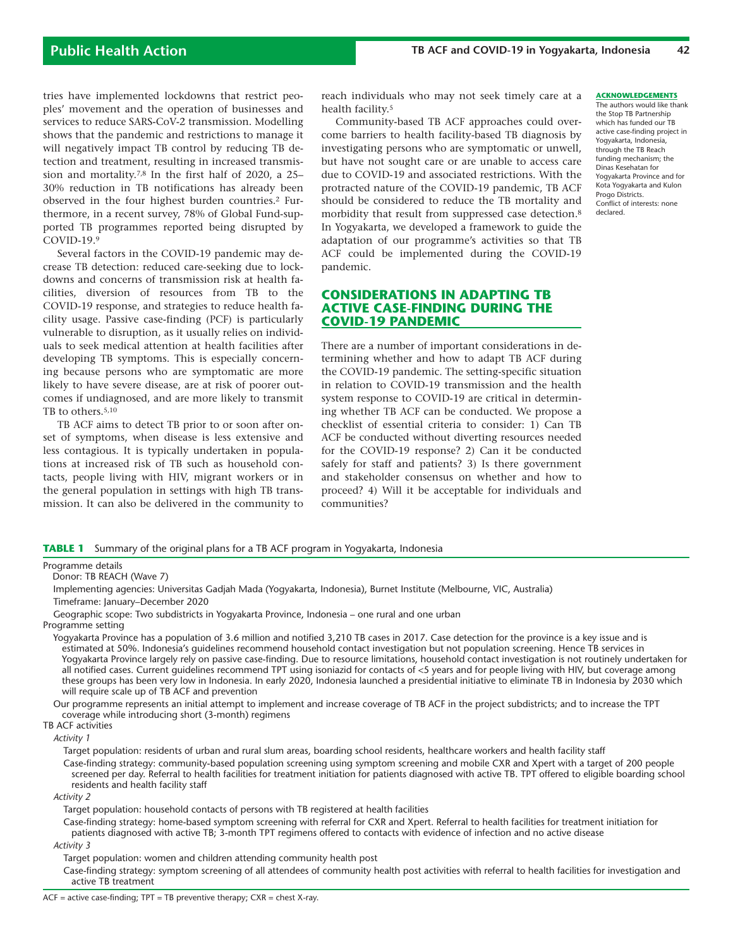tries have implemented lockdowns that restrict peoples' movement and the operation of businesses and services to reduce SARS-CoV-2 transmission. Modelling shows that the pandemic and restrictions to manage it will negatively impact TB control by reducing TB detection and treatment, resulting in increased transmission and mortality.7,8 In the first half of 2020, a 25– 30% reduction in TB notifications has already been observed in the four highest burden countries.2 Furthermore, in a recent survey, 78% of Global Fund-supported TB programmes reported being disrupted by COVID-19.9

Several factors in the COVID-19 pandemic may decrease TB detection: reduced care-seeking due to lockdowns and concerns of transmission risk at health facilities, diversion of resources from TB to the COVID-19 response, and strategies to reduce health facility usage. Passive case-finding (PCF) is particularly vulnerable to disruption, as it usually relies on individuals to seek medical attention at health facilities after developing TB symptoms. This is especially concerning because persons who are symptomatic are more likely to have severe disease, are at risk of poorer outcomes if undiagnosed, and are more likely to transmit TB to others.5,10

TB ACF aims to detect TB prior to or soon after onset of symptoms, when disease is less extensive and less contagious. It is typically undertaken in populations at increased risk of TB such as household contacts, people living with HIV, migrant workers or in the general population in settings with high TB transmission. It can also be delivered in the community to

reach individuals who may not seek timely care at a health facility.5

Community-based TB ACF approaches could overcome barriers to health facility-based TB diagnosis by investigating persons who are symptomatic or unwell, but have not sought care or are unable to access care due to COVID-19 and associated restrictions. With the protracted nature of the COVID-19 pandemic, TB ACF should be considered to reduce the TB mortality and morbidity that result from suppressed case detection.8 In Yogyakarta, we developed a framework to guide the adaptation of our programme's activities so that TB ACF could be implemented during the COVID-19 pandemic.

# **CONSIDERATIONS IN ADAPTING TB ACTIVE CASE-FINDING DURING THE COVID-19 PANDEMIC**

There are a number of important considerations in determining whether and how to adapt TB ACF during the COVID-19 pandemic. The setting-specific situation in relation to COVID-19 transmission and the health system response to COVID-19 are critical in determining whether TB ACF can be conducted. We propose a checklist of essential criteria to consider: 1) Can TB ACF be conducted without diverting resources needed for the COVID-19 response? 2) Can it be conducted safely for staff and patients? 3) Is there government and stakeholder consensus on whether and how to proceed? 4) Will it be acceptable for individuals and communities?

#### **ACKNOWLEDGEMENTS**

The authors would like thank the Stop TB Partnership which has funded our TB active case-finding project in Yogyakarta, Indonesia, through the TB Reach funding mechanism; the Dinas Kesehatan for Yogyakarta Province and for Kota Yogyakarta and Kulon Progo Districts. Conflict of interests: none declared.

**TABLE 1** Summary of the original plans for a TB ACF program in Yogyakarta, Indonesia

#### Programme details

Donor: TB REACH (Wave 7)

Implementing agencies: Universitas Gadjah Mada (Yogyakarta, Indonesia), Burnet Institute (Melbourne, VIC, Australia) Timeframe: January–December 2020

- Geographic scope: Two subdistricts in Yogyakarta Province, Indonesia one rural and one urban Programme setting
- Yogyakarta Province has a population of 3.6 million and notified 3,210 TB cases in 2017. Case detection for the province is a key issue and is estimated at 50%. Indonesia's guidelines recommend household contact investigation but not population screening. Hence TB services in Yogyakarta Province largely rely on passive case-finding. Due to resource limitations, household contact investigation is not routinely undertaken for all notified cases. Current guidelines recommend TPT using isoniazid for contacts of <5 years and for people living with HIV, but coverage among these groups has been very low in Indonesia. In early 2020, Indonesia launched a presidential initiative to eliminate TB in Indonesia by 2030 which will require scale up of TB ACF and prevention

Our programme represents an initial attempt to implement and increase coverage of TB ACF in the project subdistricts; and to increase the TPT coverage while introducing short (3-month) regimens

TB ACF activities

*Activity 1*

 Target population: residents of urban and rural slum areas, boarding school residents, healthcare workers and health facility staff Case-finding strategy: community-based population screening using symptom screening and mobile CXR and Xpert with a target of 200 people screened per day. Referral to health facilities for treatment initiation for patients diagnosed with active TB. TPT offered to eligible boarding school residents and health facility staff

*Activity 2*

Target population: household contacts of persons with TB registered at health facilities

 Case-finding strategy: home-based symptom screening with referral for CXR and Xpert. Referral to health facilities for treatment initiation for patients diagnosed with active TB; 3-month TPT regimens offered to contacts with evidence of infection and no active disease

*Activity 3*

Target population: women and children attending community health post

 Case-finding strategy: symptom screening of all attendees of community health post activities with referral to health facilities for investigation and active TB treatment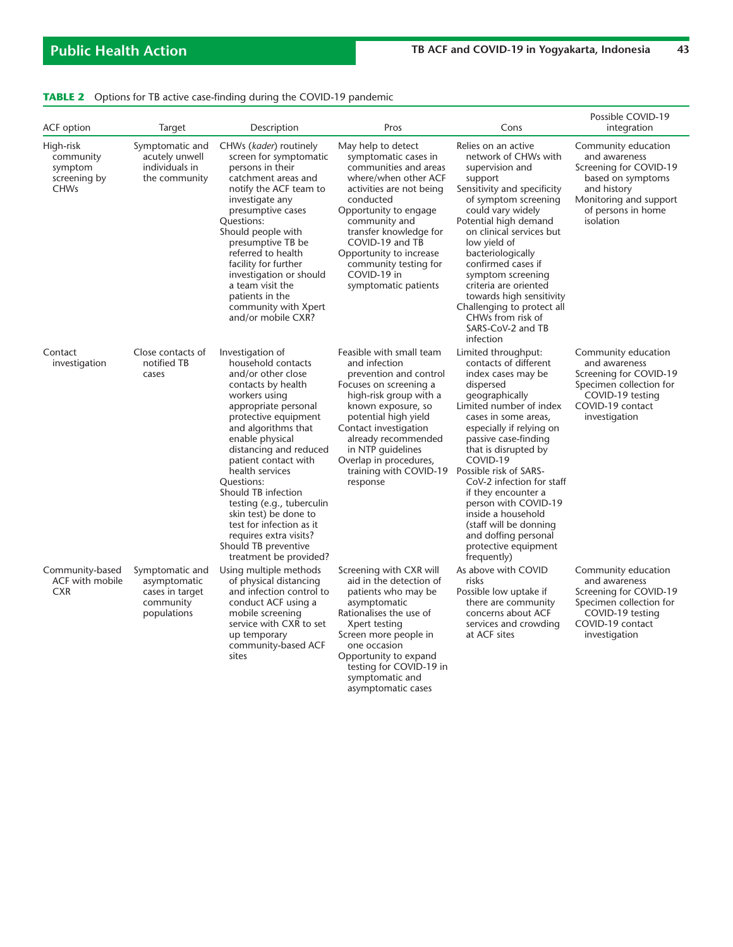|  |  | TABLE 2 Options for TB active case-finding during the COVID-19 pandemic |  |
|--|--|-------------------------------------------------------------------------|--|
|  |  |                                                                         |  |

| ACF option                                                       | Target                                                                         | Description                                                                                                                                                                                                                                                                                                                                                                                                                                                           | Pros                                                                                                                                                                                                                                                                                                                              | Cons                                                                                                                                                                                                                                                                                                                                                                                                                                    | Possible COVID-19<br>integration                                                                                                                                |
|------------------------------------------------------------------|--------------------------------------------------------------------------------|-----------------------------------------------------------------------------------------------------------------------------------------------------------------------------------------------------------------------------------------------------------------------------------------------------------------------------------------------------------------------------------------------------------------------------------------------------------------------|-----------------------------------------------------------------------------------------------------------------------------------------------------------------------------------------------------------------------------------------------------------------------------------------------------------------------------------|-----------------------------------------------------------------------------------------------------------------------------------------------------------------------------------------------------------------------------------------------------------------------------------------------------------------------------------------------------------------------------------------------------------------------------------------|-----------------------------------------------------------------------------------------------------------------------------------------------------------------|
| High-risk<br>community<br>symptom<br>screening by<br><b>CHWs</b> | Symptomatic and<br>acutely unwell<br>individuals in<br>the community           | CHWs (kader) routinely<br>screen for symptomatic<br>persons in their<br>catchment areas and<br>notify the ACF team to<br>investigate any<br>presumptive cases<br>Questions:<br>Should people with<br>presumptive TB be<br>referred to health<br>facility for further<br>investigation or should<br>a team visit the<br>patients in the<br>community with Xpert<br>and/or mobile CXR?                                                                                  | May help to detect<br>symptomatic cases in<br>communities and areas<br>where/when other ACF<br>activities are not being<br>conducted<br>Opportunity to engage<br>community and<br>transfer knowledge for<br>COVID-19 and TB<br>Opportunity to increase<br>community testing for<br>COVID-19 in<br>symptomatic patients            | Relies on an active<br>network of CHWs with<br>supervision and<br>support<br>Sensitivity and specificity<br>of symptom screening<br>could vary widely<br>Potential high demand<br>on clinical services but<br>low yield of<br>bacteriologically<br>confirmed cases if<br>symptom screening<br>criteria are oriented<br>towards high sensitivity<br>Challenging to protect all<br>CHWs from risk of<br>SARS-CoV-2 and TB<br>infection    | Community education<br>and awareness<br>Screening for COVID-19<br>based on symptoms<br>and history<br>Monitoring and support<br>of persons in home<br>isolation |
| Contact<br>investigation                                         | Close contacts of<br>notified TB<br>cases                                      | Investigation of<br>household contacts<br>and/or other close<br>contacts by health<br>workers using<br>appropriate personal<br>protective equipment<br>and algorithms that<br>enable physical<br>distancing and reduced<br>patient contact with<br>health services<br>Ouestions:<br>Should TB infection<br>testing (e.g., tuberculin<br>skin test) be done to<br>test for infection as it<br>requires extra visits?<br>Should TB preventive<br>treatment be provided? | Feasible with small team<br>and infection<br>prevention and control<br>Focuses on screening a<br>high-risk group with a<br>known exposure, so<br>potential high yield<br>Contact investigation<br>already recommended<br>in NTP quidelines<br>Overlap in procedures,<br>training with COVID-19 Possible risk of SARS-<br>response | Limited throughput:<br>contacts of different<br>index cases may be<br>dispersed<br>geographically<br>Limited number of index<br>cases in some areas,<br>especially if relying on<br>passive case-finding<br>that is disrupted by<br>COVID-19<br>CoV-2 infection for staff<br>if they encounter a<br>person with COVID-19<br>inside a household<br>(staff will be donning<br>and doffing personal<br>protective equipment<br>frequently) | Community education<br>and awareness<br>Screening for COVID-19<br>Specimen collection for<br>COVID-19 testing<br>COVID-19 contact<br>investigation              |
| Community-based<br>ACF with mobile<br><b>CXR</b>                 | Symptomatic and<br>asymptomatic<br>cases in target<br>community<br>populations | Using multiple methods<br>of physical distancing<br>and infection control to<br>conduct ACF using a<br>mobile screening<br>service with CXR to set<br>up temporary<br>community-based ACF<br>sites                                                                                                                                                                                                                                                                    | Screening with CXR will<br>aid in the detection of<br>patients who may be<br>asymptomatic<br>Rationalises the use of<br>Xpert testing<br>Screen more people in<br>one occasion<br>Opportunity to expand<br>testing for COVID-19 in<br>symptomatic and<br>asymptomatic cases                                                       | As above with COVID<br>risks<br>Possible low uptake if<br>there are community<br>concerns about ACF<br>services and crowding<br>at ACF sites                                                                                                                                                                                                                                                                                            | Community education<br>and awareness<br>Screening for COVID-19<br>Specimen collection for<br>COVID-19 testing<br>COVID-19 contact<br>investigation              |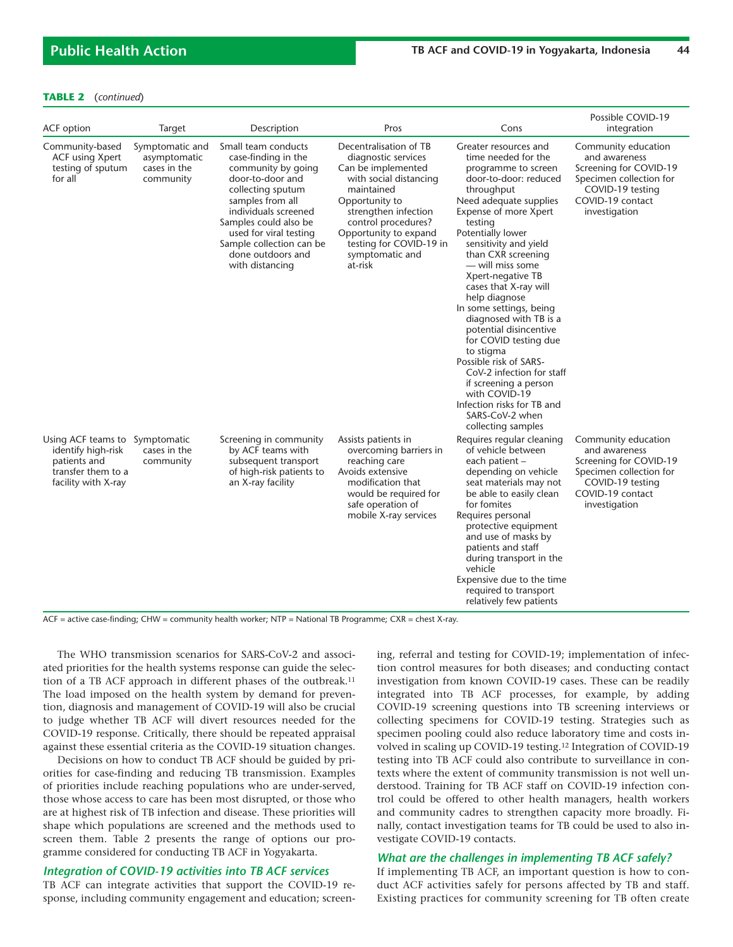### **TABLE 2** (*continued*)

| ACF option                                                                                                        | Target                                                       | Description                                                                                                                                                                                                                                                                  | Pros                                                                                                                                                                                                                                                           | Cons                                                                                                                                                                                                                                                                                                                                                                                                                                                                                                                                                                                                                         | Possible COVID-19<br>integration                                                                                                                   |
|-------------------------------------------------------------------------------------------------------------------|--------------------------------------------------------------|------------------------------------------------------------------------------------------------------------------------------------------------------------------------------------------------------------------------------------------------------------------------------|----------------------------------------------------------------------------------------------------------------------------------------------------------------------------------------------------------------------------------------------------------------|------------------------------------------------------------------------------------------------------------------------------------------------------------------------------------------------------------------------------------------------------------------------------------------------------------------------------------------------------------------------------------------------------------------------------------------------------------------------------------------------------------------------------------------------------------------------------------------------------------------------------|----------------------------------------------------------------------------------------------------------------------------------------------------|
| Community-based<br><b>ACF using Xpert</b><br>testing of sputum<br>for all                                         | Symptomatic and<br>asymptomatic<br>cases in the<br>community | Small team conducts<br>case-finding in the<br>community by going<br>door-to-door and<br>collecting sputum<br>samples from all<br>individuals screened<br>Samples could also be<br>used for viral testing<br>Sample collection can be<br>done outdoors and<br>with distancing | Decentralisation of TB<br>diagnostic services<br>Can be implemented<br>with social distancing<br>maintained<br>Opportunity to<br>strengthen infection<br>control procedures?<br>Opportunity to expand<br>testing for COVID-19 in<br>symptomatic and<br>at-risk | Greater resources and<br>time needed for the<br>programme to screen<br>door-to-door: reduced<br>throughput<br>Need adequate supplies<br>Expense of more Xpert<br>testing<br>Potentially lower<br>sensitivity and yield<br>than CXR screening<br>- will miss some<br>Xpert-negative TB<br>cases that X-ray will<br>help diagnose<br>In some settings, being<br>diagnosed with TB is a<br>potential disincentive<br>for COVID testing due<br>to stigma<br>Possible risk of SARS-<br>CoV-2 infection for staff<br>if screening a person<br>with COVID-19<br>Infection risks for TB and<br>SARS-CoV-2 when<br>collecting samples | Community education<br>and awareness<br>Screening for COVID-19<br>Specimen collection for<br>COVID-19 testing<br>COVID-19 contact<br>investigation |
| Using ACF teams to Symptomatic<br>identify high-risk<br>patients and<br>transfer them to a<br>facility with X-ray | cases in the<br>community                                    | Screening in community<br>by ACF teams with<br>subsequent transport<br>of high-risk patients to<br>an X-ray facility                                                                                                                                                         | Assists patients in<br>overcoming barriers in<br>reaching care<br>Avoids extensive<br>modification that<br>would be required for<br>safe operation of<br>mobile X-ray services                                                                                 | Requires regular cleaning<br>of vehicle between<br>each patient -<br>depending on vehicle<br>seat materials may not<br>be able to easily clean<br>for fomites<br>Requires personal<br>protective equipment<br>and use of masks by<br>patients and staff<br>during transport in the<br>vehicle<br>Expensive due to the time<br>required to transport<br>relatively few patients                                                                                                                                                                                                                                               | Community education<br>and awareness<br>Screening for COVID-19<br>Specimen collection for<br>COVID-19 testing<br>COVID-19 contact<br>investigation |

ACF = active case-finding; CHW = community health worker; NTP = National TB Programme; CXR = chest X-ray.

The WHO transmission scenarios for SARS-CoV-2 and associated priorities for the health systems response can guide the selection of a TB ACF approach in different phases of the outbreak.11 The load imposed on the health system by demand for prevention, diagnosis and management of COVID-19 will also be crucial to judge whether TB ACF will divert resources needed for the COVID-19 response. Critically, there should be repeated appraisal against these essential criteria as the COVID-19 situation changes.

Decisions on how to conduct TB ACF should be guided by priorities for case-finding and reducing TB transmission. Examples of priorities include reaching populations who are under-served, those whose access to care has been most disrupted, or those who are at highest risk of TB infection and disease. These priorities will shape which populations are screened and the methods used to screen them. Table 2 presents the range of options our programme considered for conducting TB ACF in Yogyakarta.

### *Integration of COVID-19 activities into TB ACF services*

TB ACF can integrate activities that support the COVID-19 response, including community engagement and education; screening, referral and testing for COVID-19; implementation of infection control measures for both diseases; and conducting contact investigation from known COVID-19 cases. These can be readily integrated into TB ACF processes, for example, by adding COVID-19 screening questions into TB screening interviews or collecting specimens for COVID-19 testing. Strategies such as specimen pooling could also reduce laboratory time and costs involved in scaling up COVID-19 testing.12 Integration of COVID-19 testing into TB ACF could also contribute to surveillance in contexts where the extent of community transmission is not well understood. Training for TB ACF staff on COVID-19 infection control could be offered to other health managers, health workers and community cadres to strengthen capacity more broadly. Finally, contact investigation teams for TB could be used to also investigate COVID-19 contacts.

### *What are the challenges in implementing TB ACF safely?*

If implementing TB ACF, an important question is how to conduct ACF activities safely for persons affected by TB and staff. Existing practices for community screening for TB often create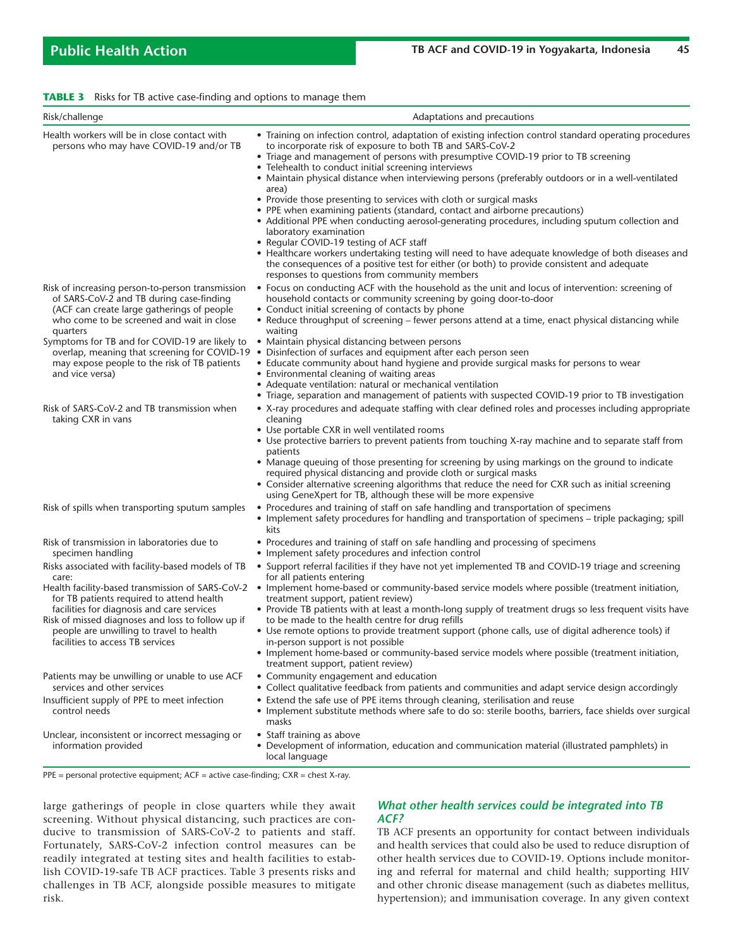| <b>TABLE 3</b> Risks for TB active case-finding and options to manage them |  |  |  |  |  |  |
|----------------------------------------------------------------------------|--|--|--|--|--|--|
|----------------------------------------------------------------------------|--|--|--|--|--|--|

| Risk/challenge                                                                                                                                                                                                                                                                             | Adaptations and precautions                                                                                                                                                                                                                                                                                                                                                                                                                                                                                                                                                                                                                                                                                                                                                 |
|--------------------------------------------------------------------------------------------------------------------------------------------------------------------------------------------------------------------------------------------------------------------------------------------|-----------------------------------------------------------------------------------------------------------------------------------------------------------------------------------------------------------------------------------------------------------------------------------------------------------------------------------------------------------------------------------------------------------------------------------------------------------------------------------------------------------------------------------------------------------------------------------------------------------------------------------------------------------------------------------------------------------------------------------------------------------------------------|
| Health workers will be in close contact with<br>persons who may have COVID-19 and/or TB                                                                                                                                                                                                    | • Training on infection control, adaptation of existing infection control standard operating procedures<br>to incorporate risk of exposure to both TB and SARS-CoV-2<br>• Triage and management of persons with presumptive COVID-19 prior to TB screening<br>• Telehealth to conduct initial screening interviews<br>• Maintain physical distance when interviewing persons (preferably outdoors or in a well-ventilated<br>area)                                                                                                                                                                                                                                                                                                                                          |
|                                                                                                                                                                                                                                                                                            | • Provide those presenting to services with cloth or surgical masks<br>• PPE when examining patients (standard, contact and airborne precautions)<br>• Additional PPE when conducting aerosol-generating procedures, including sputum collection and<br>laboratory examination<br>• Regular COVID-19 testing of ACF staff<br>• Healthcare workers undertaking testing will need to have adequate knowledge of both diseases and<br>the consequences of a positive test for either (or both) to provide consistent and adequate<br>responses to questions from community members                                                                                                                                                                                             |
| Risk of increasing person-to-person transmission<br>of SARS-CoV-2 and TB during case-finding<br>(ACF can create large gatherings of people<br>who come to be screened and wait in close<br>quarters                                                                                        | • Focus on conducting ACF with the household as the unit and locus of intervention: screening of<br>household contacts or community screening by going door-to-door<br>• Conduct initial screening of contacts by phone<br>• Reduce throughput of screening – fewer persons attend at a time, enact physical distancing while<br>waiting                                                                                                                                                                                                                                                                                                                                                                                                                                    |
| Symptoms for TB and for COVID-19 are likely to<br>overlap, meaning that screening for COVID-19<br>may expose people to the risk of TB patients<br>and vice versa)                                                                                                                          | • Maintain physical distancing between persons<br>• Disinfection of surfaces and equipment after each person seen<br>• Educate community about hand hygiene and provide surgical masks for persons to wear<br>• Environmental cleaning of waiting areas<br>• Adequate ventilation: natural or mechanical ventilation<br>• Triage, separation and management of patients with suspected COVID-19 prior to TB investigation                                                                                                                                                                                                                                                                                                                                                   |
| Risk of SARS-CoV-2 and TB transmission when<br>taking CXR in vans                                                                                                                                                                                                                          | • X-ray procedures and adequate staffing with clear defined roles and processes including appropriate<br>cleaning<br>• Use portable CXR in well ventilated rooms<br>• Use protective barriers to prevent patients from touching X-ray machine and to separate staff from<br>patients<br>• Manage queuing of those presenting for screening by using markings on the ground to indicate<br>required physical distancing and provide cloth or surgical masks<br>• Consider alternative screening algorithms that reduce the need for CXR such as initial screening<br>using GeneXpert for TB, although these will be more expensive                                                                                                                                           |
| Risk of spills when transporting sputum samples                                                                                                                                                                                                                                            | • Procedures and training of staff on safe handling and transportation of specimens<br>• Implement safety procedures for handling and transportation of specimens – triple packaging; spill<br>kits                                                                                                                                                                                                                                                                                                                                                                                                                                                                                                                                                                         |
| Risk of transmission in laboratories due to<br>specimen handling                                                                                                                                                                                                                           | • Procedures and training of staff on safe handling and processing of specimens<br>• Implement safety procedures and infection control                                                                                                                                                                                                                                                                                                                                                                                                                                                                                                                                                                                                                                      |
| Risks associated with facility-based models of TB<br>care:<br>for TB patients required to attend health<br>facilities for diagnosis and care services<br>Risk of missed diagnoses and loss to follow up if<br>people are unwilling to travel to health<br>facilities to access TB services | • Support referral facilities if they have not yet implemented TB and COVID-19 triage and screening<br>for all patients entering<br>Health facility-based transmission of SARS-CoV-2 • Implement home-based or community-based service models where possible (treatment initiation,<br>treatment support, patient review)<br>• Provide TB patients with at least a month-long supply of treatment drugs so less frequent visits have<br>to be made to the health centre for drug refills<br>• Use remote options to provide treatment support (phone calls, use of digital adherence tools) if<br>in-person support is not possible<br>• Implement home-based or community-based service models where possible (treatment initiation,<br>treatment support, patient review) |
| Patients may be unwilling or unable to use ACF<br>services and other services                                                                                                                                                                                                              | • Community engagement and education<br>• Collect qualitative feedback from patients and communities and adapt service design accordingly                                                                                                                                                                                                                                                                                                                                                                                                                                                                                                                                                                                                                                   |
| Insufficient supply of PPE to meet infection<br>control needs                                                                                                                                                                                                                              | • Extend the safe use of PPE items through cleaning, sterilisation and reuse<br>• Implement substitute methods where safe to do so: sterile booths, barriers, face shields over surgical<br>masks                                                                                                                                                                                                                                                                                                                                                                                                                                                                                                                                                                           |
| Unclear, inconsistent or incorrect messaging or<br>information provided                                                                                                                                                                                                                    | • Staff training as above<br>• Development of information, education and communication material (illustrated pamphlets) in<br>local language                                                                                                                                                                                                                                                                                                                                                                                                                                                                                                                                                                                                                                |
| $PPE =$ personal protective equipment; $ACF =$ active case-finding; $CXR =$ chest X-ray.                                                                                                                                                                                                   |                                                                                                                                                                                                                                                                                                                                                                                                                                                                                                                                                                                                                                                                                                                                                                             |

large gatherings of people in close quarters while they await screening. Without physical distancing, such practices are conducive to transmission of SARS-CoV-2 to patients and staff. Fortunately, SARS-CoV-2 infection control measures can be readily integrated at testing sites and health facilities to establish COVID-19-safe TB ACF practices. Table 3 presents risks and challenges in TB ACF, alongside possible measures to mitigate risk.

# *What other health services could be integrated into TB ACF?*

TB ACF presents an opportunity for contact between individuals and health services that could also be used to reduce disruption of other health services due to COVID-19. Options include monitoring and referral for maternal and child health; supporting HIV and other chronic disease management (such as diabetes mellitus, hypertension); and immunisation coverage. In any given context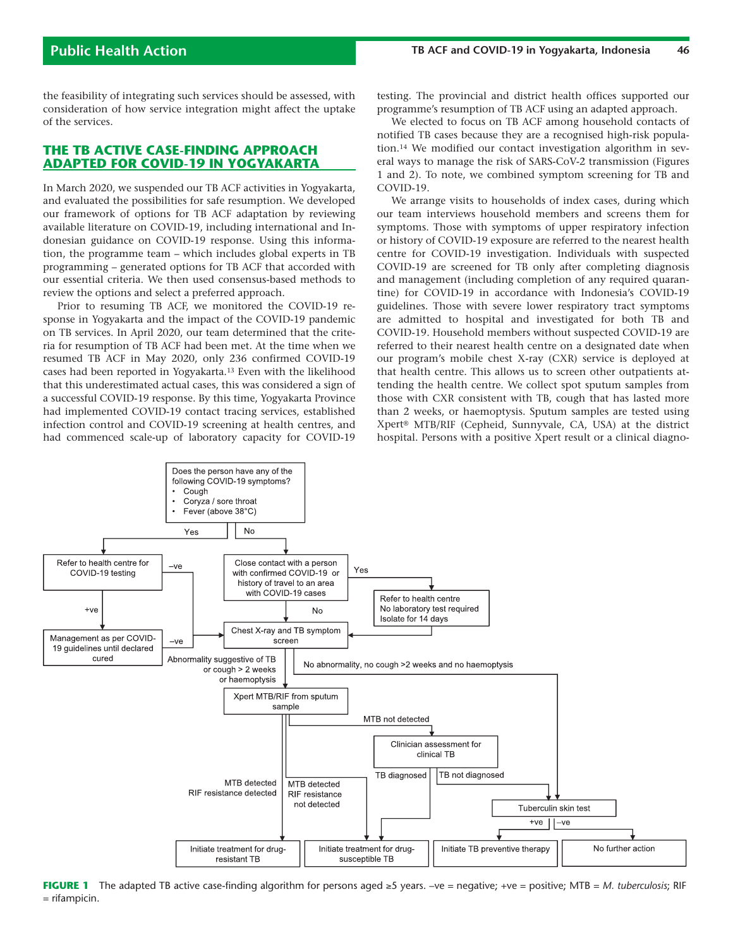the feasibility of integrating such services should be assessed, with consideration of how service integration might affect the uptake of the services.

# **THE TB ACTIVE CASE-FINDING APPROACH ADAPTED FOR COVID-19 IN YOGYAKARTA**

In March 2020, we suspended our TB ACF activities in Yogyakarta, and evaluated the possibilities for safe resumption. We developed our framework of options for TB ACF adaptation by reviewing available literature on COVID-19, including international and Indonesian guidance on COVID-19 response. Using this information, the programme team – which includes global experts in TB programming – generated options for TB ACF that accorded with our essential criteria. We then used consensus-based methods to review the options and select a preferred approach.

Prior to resuming TB ACF, we monitored the COVID-19 response in Yogyakarta and the impact of the COVID-19 pandemic on TB services. In April 2020, our team determined that the criteria for resumption of TB ACF had been met. At the time when we resumed TB ACF in May 2020, only 236 confirmed COVID-19 cases had been reported in Yogyakarta.13 Even with the likelihood that this underestimated actual cases, this was considered a sign of a successful COVID-19 response. By this time, Yogyakarta Province had implemented COVID-19 contact tracing services, established infection control and COVID-19 screening at health centres, and had commenced scale-up of laboratory capacity for COVID-19 testing. The provincial and district health offices supported our programme's resumption of TB ACF using an adapted approach.

We elected to focus on TB ACF among household contacts of notified TB cases because they are a recognised high-risk population.14 We modified our contact investigation algorithm in several ways to manage the risk of SARS-CoV-2 transmission (Figures 1 and 2). To note, we combined symptom screening for TB and COVID-19.

We arrange visits to households of index cases, during which our team interviews household members and screens them for symptoms. Those with symptoms of upper respiratory infection or history of COVID-19 exposure are referred to the nearest health centre for COVID-19 investigation. Individuals with suspected COVID-19 are screened for TB only after completing diagnosis and management (including completion of any required quarantine) for COVID-19 in accordance with Indonesia's COVID-19 guidelines. Those with severe lower respiratory tract symptoms are admitted to hospital and investigated for both TB and COVID-19. Household members without suspected COVID-19 are referred to their nearest health centre on a designated date when our program's mobile chest X-ray (CXR) service is deployed at that health centre. This allows us to screen other outpatients attending the health centre. We collect spot sputum samples from those with CXR consistent with TB, cough that has lasted more than 2 weeks, or haemoptysis. Sputum samples are tested using Xpert® MTB/RIF (Cepheid, Sunnyvale, CA, USA) at the district hospital. Persons with a positive Xpert result or a clinical diagno-



**FIGURE 1** The adapted TB active case-finding algorithm for persons aged ≥5 years. –ve = negative; +ve = positive; MTB = *M. tuberculosis*; RIF = rifampicin.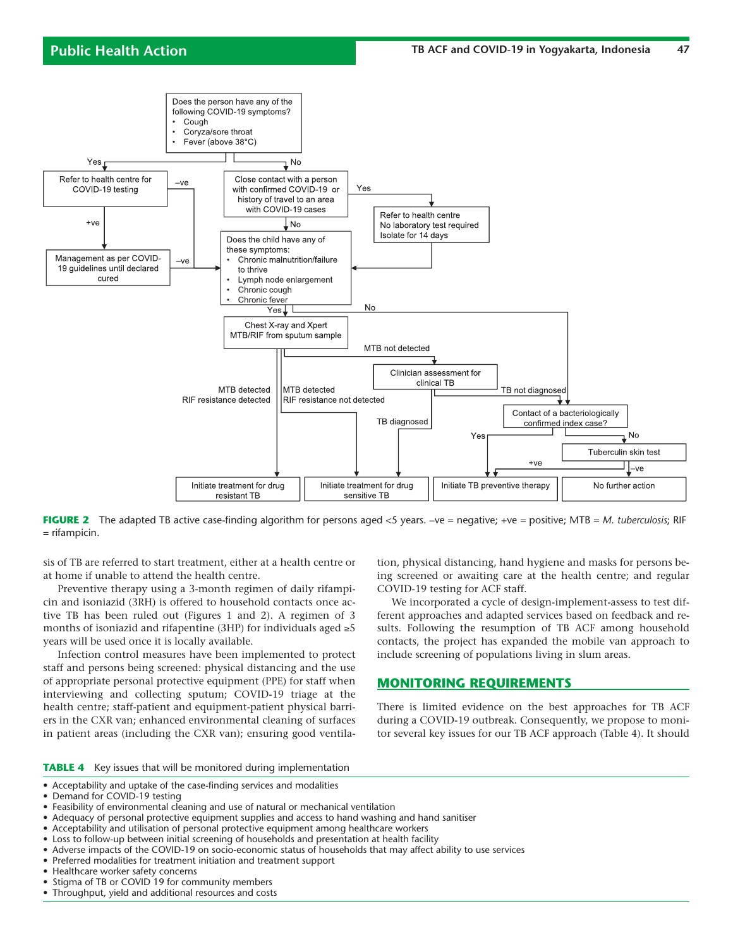

**FIGURE 2** The adapted TB active case-finding algorithm for persons aged <5 years. -ve = negative; +ve = positive; MTB = *M. tuberculosis*; RIF = rifampicin.

sis of TB are referred to start treatment, either at a health centre or at home if unable to attend the health centre.

Preventive therapy using a 3-month regimen of daily rifampicin and isoniazid (3RH) is offered to household contacts once active TB has been ruled out (Figures 1 and 2). A regimen of 3 months of isoniazid and rifapentine (3HP) for individuals aged  $\geq 5$ years will be used once it is locally available.

Infection control measures have been implemented to protect staff and persons being screened: physical distancing and the use of appropriate personal protective equipment (PPE) for staff when interviewing and collecting sputum; COVID-19 triage at the health centre; staff-patient and equipment-patient physical barriers in the CXR van; enhanced environmental cleaning of surfaces in patient areas (including the CXR van); ensuring good ventilation, physical distancing, hand hygiene and masks for persons being screened or awaiting care at the health centre; and regular COVID-19 testing for ACF staff.

We incorporated a cycle of design-implement-assess to test different approaches and adapted services based on feedback and results. Following the resumption of TB ACF among household contacts, the project has expanded the mobile van approach to include screening of populations living in slum areas.

# **MONITORING REQUIREMENTS**

There is limited evidence on the best approaches for TB ACF during a COVID-19 outbreak. Consequently, we propose to monitor several key issues for our TB ACF approach (Table 4). It should

**TABLE 4** Key issues that will be monitored during implementation

- Acceptability and uptake of the case-finding services and modalities
- Demand for COVID-19 testing
- Feasibility of environmental cleaning and use of natural or mechanical ventilation
- Adequacy of personal protective equipment supplies and access to hand washing and hand sanitiser
- Acceptability and utilisation of personal protective equipment among healthcare workers
- Loss to follow-up between initial screening of households and presentation at health facility
- Adverse impacts of the COVID-19 on socio-economic status of households that may affect ability to use services
- Preferred modalities for treatment initiation and treatment support
- Healthcare worker safety concerns
- Stigma of TB or COVID 19 for community members
- Throughput, yield and additional resources and costs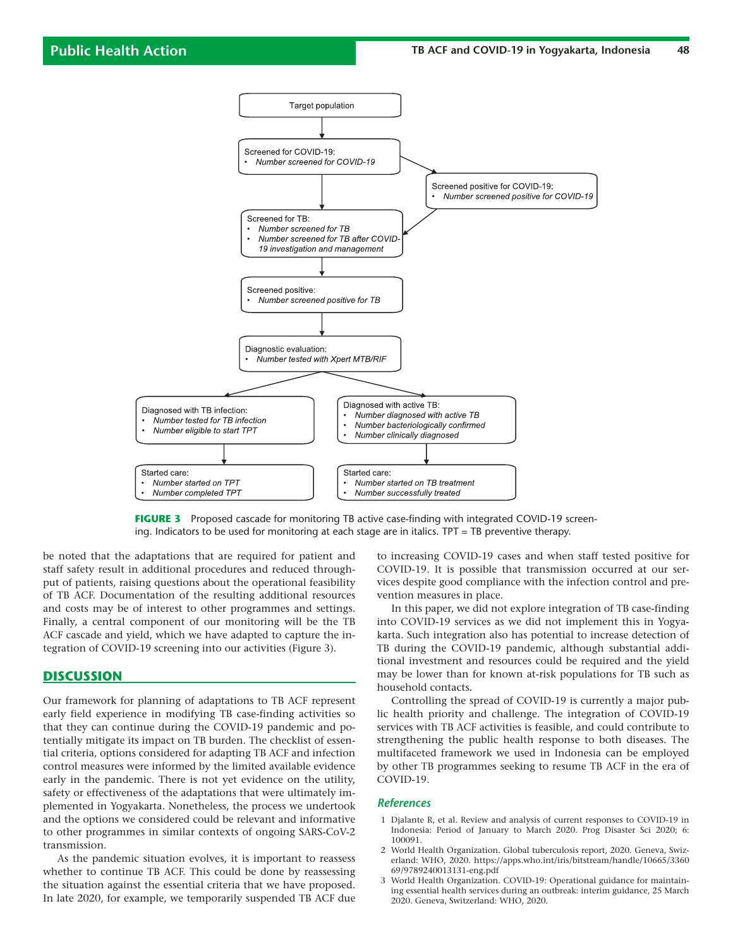

**FIGURE 3** Proposed cascade for monitoring TB active case-finding with integrated COVID-19 screening. Indicators to be used for monitoring at each stage are in italics. TPT = TB preventive therapy.

be noted that the adaptations that are required for patient and staff safety result in additional procedures and reduced throughput of patients, raising questions about the operational feasibility of TB ACF. Documentation of the resulting additional resources and costs may be of interest to other programmes and settings. Finally, a central component of our monitoring will be the TB ACF cascade and yield, which we have adapted to capture the integration of COVID-19 screening into our activities (Figure 3).

### **DISCUSSION**

Our framework for planning of adaptations to TB ACF represent early field experience in modifying TB case-finding activities so that they can continue during the COVID-19 pandemic and potentially mitigate its impact on TB burden. The checklist of essential criteria, options considered for adapting TB ACF and infection control measures were informed by the limited available evidence early in the pandemic. There is not yet evidence on the utility, safety or effectiveness of the adaptations that were ultimately implemented in Yogyakarta. Nonetheless, the process we undertook and the options we considered could be relevant and informative to other programmes in similar contexts of ongoing SARS-CoV-2 transmission.

As the pandemic situation evolves, it is important to reassess whether to continue TB ACF. This could be done by reassessing the situation against the essential criteria that we have proposed. In late 2020, for example, we temporarily suspended TB ACF due

to increasing COVID-19 cases and when staff tested positive for COVID-19. It is possible that transmission occurred at our services despite good compliance with the infection control and prevention measures in place.

In this paper, we did not explore integration of TB case-finding into COVID-19 services as we did not implement this in Yogyakarta. Such integration also has potential to increase detection of TB during the COVID-19 pandemic, although substantial additional investment and resources could be required and the yield may be lower than for known at-risk populations for TB such as household contacts.

Controlling the spread of COVID-19 is currently a major public health priority and challenge. The integration of COVID-19 services with TB ACF activities is feasible, and could contribute to strengthening the public health response to both diseases. The multifaceted framework we used in Indonesia can be employed by other TB programmes seeking to resume TB ACF in the era of COVID-19.

### *References*

- 1 Djalante R, et al. Review and analysis of current responses to COVID-19 in Indonesia: Period of January to March 2020. Prog Disaster Sci 2020; 6: 100091.
- 2 World Health Organization. Global tuberculosis report, 2020. Geneva, Swizerland: WHO, 2020. https://apps.who.int/iris/bitstream/handle/10665/3360 69/9789240013131-eng.pdf
- 3 World Health Organization. COVID-19: Operational guidance for maintaining essential health services during an outbreak: interim guidance, 25 March 2020. Geneva, Switzerland: WHO, 2020.